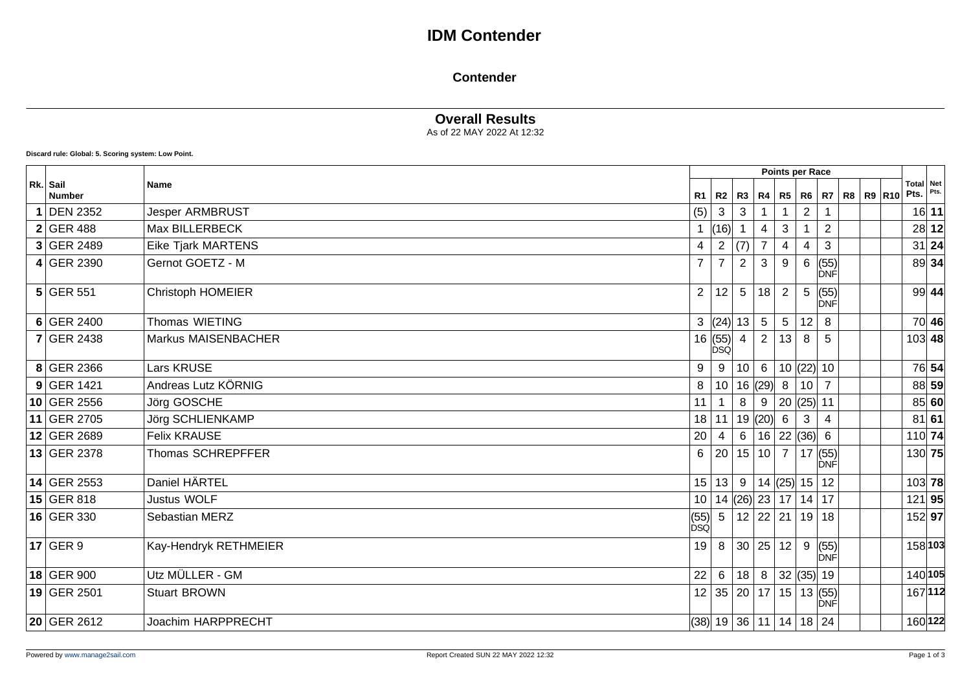# **IDM Contender**

#### **Contender**

### **Overall Results**

As of 22 MAY 2022 At 12:32

**Discard rule: Global: 5. Scoring system: Low Point.**

|                           |                           | Points per Race       |                                                                         |                |                             |                           |                |                         |  |               |                   |         |
|---------------------------|---------------------------|-----------------------|-------------------------------------------------------------------------|----------------|-----------------------------|---------------------------|----------------|-------------------------|--|---------------|-------------------|---------|
| Rk. Sail<br><b>Number</b> | <b>Name</b>               | <b>R1</b>             | $R2$ $R3$                                                               |                | R4                          | R5                        | R6             | R7                      |  | R8   R9   R10 | Total Net<br>Pts. | Pts.    |
| <b>DEN 2352</b>           | <b>Jesper ARMBRUST</b>    | (5)                   | $\mathbf{3}$                                                            | 3              |                             |                           | $\overline{2}$ |                         |  |               |                   | 16 11   |
| $2$ GER 488               | Max BILLERBECK            |                       | (16)                                                                    |                | $\overline{4}$              | $\ensuremath{\mathsf{3}}$ |                | $\overline{2}$          |  |               |                   | 28 12   |
| $3$ GER 2489              | <b>Eike Tjark MARTENS</b> | 4                     | 2                                                                       | (7)            | $\overline{7}$              | $\overline{\mathbf{4}}$   | 4              | $\mathbf{3}$            |  |               |                   | $31$ 24 |
| $4$ GER 2390              | Gernot GOETZ - M          | $\overline{7}$        | $\overline{7}$                                                          | $\overline{2}$ | 3                           | $\boldsymbol{9}$          | 6              | (55)<br>ĎNÉ             |  |               |                   | 89 34   |
| $5$ GER 551               | <b>Christoph HOMEIER</b>  | $\mathbf{2}^{\prime}$ | 12                                                                      | 5              | 18                          | $\overline{2}$            | 5              | (55)<br>ιÒΝÉ            |  |               |                   | $99$ 44 |
| $6$ GER 2400              | Thomas WIETING            |                       | 3  (24)  13                                                             |                | $5\phantom{.0}$             | $5\phantom{.0}$           | 12             | 8                       |  |               |                   | 70 46   |
| <b>7 GER 2438</b>         | Markus MAISENBACHER       |                       | $\begin{array}{c c} 16 & (55) & 4 \\ \hline \text{DSQ} & & \end{array}$ |                | $\overline{2}$              | 13                        | 8              | 5                       |  |               | $103$ 48          |         |
| 8 GER 2366                | <b>Lars KRUSE</b>         | 9                     |                                                                         | 10             | 6                           |                           | 10  (22)  10   |                         |  |               |                   | 76 54   |
| $9$ GER 1421              | Andreas Lutz KÖRNIG       | 8                     | 10 <sup>°</sup>                                                         |                | 16(29)                      | 8                         | 10             | $\overline{7}$          |  |               |                   | 88 59   |
| 10 GER 2556               | Jörg GOSCHE               | 11                    |                                                                         | 8              | $\boldsymbol{9}$            |                           | 20  (25)  11   |                         |  |               |                   | 85 60   |
| 11 GER 2705               | Jörg SCHLIENKAMP          | 18                    | 11                                                                      |                | 19 $ (20) $                 | $6\phantom{.}6$           | 3              | $\overline{4}$          |  |               |                   | $81$ 61 |
| 12 GER 2689               | <b>Felix KRAUSE</b>       | 20                    | $\overline{4}$                                                          | 6              | 16 22 36 6                  |                           |                |                         |  |               | $110$ 74          |         |
| 13 GER 2378               | Thomas SCHREPFFER         | 6                     | 20                                                                      |                | 15 10                       | $\overline{7}$            |                | 17   (55)<br><b>DNF</b> |  |               | 130 75            |         |
| $14$ GER 2553             | Daniel HÄRTEL             | 15                    |                                                                         | $13 \mid 9$    | $ 14 $ (25) 15              |                           |                | 12                      |  |               | 103 78            |         |
| $15$ GER 818              | <b>Justus WOLF</b>        | 10 <sup>1</sup>       |                                                                         |                | 14  (26)  23   17   14   17 |                           |                |                         |  |               | 121 95            |         |
| 16 GER 330                | Sebastian MERZ            | $ $ (55)<br>DSQ       | 5                                                                       |                | 12   22   21                |                           | 19             | 18                      |  |               | 152 97            |         |
| $17$ GER 9                | Kay-Hendryk RETHMEIER     | 19                    | 8                                                                       |                | 30 25                       | 12                        | 9              | (55)<br>ÌÒNFÌ           |  |               |                   | 158 103 |
| 18 GER 900                | Utz MÜLLER - GM           | 22                    | $6\phantom{1}$                                                          | 18             | 8 <sup>1</sup>              |                           | 32  (35)  19   |                         |  |               |                   | 140 105 |
| 19 GER 2501               | <b>Stuart BROWN</b>       | 12                    |                                                                         |                | 35 20 17 15 13(55)          |                           |                | DNF                     |  |               |                   | 167 112 |
| 20 GER 2612               | <b>Joachim HARPPRECHT</b> |                       | (38) 19 36 11                                                           |                |                             |                           | 14   18   24   |                         |  |               |                   | 160 122 |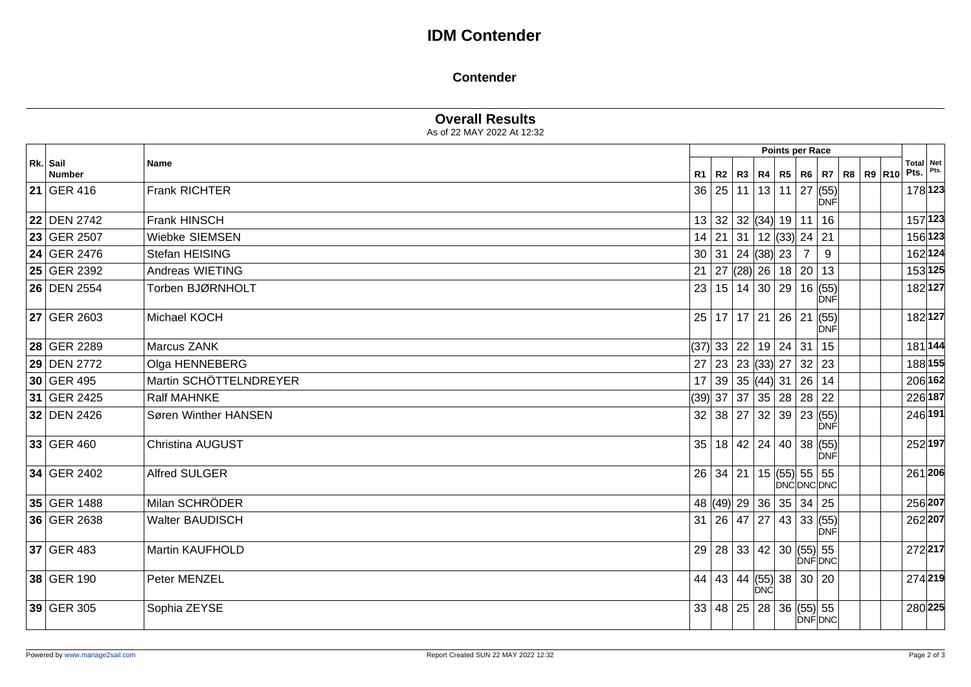# **IDM Contender**

#### **Contender**

### **Overall Results**

As of 22 MAY 2022 At 12:32

|                           |                         |                 |          |                                    |            | Points per Race |                |                                             |  |      |                   |
|---------------------------|-------------------------|-----------------|----------|------------------------------------|------------|-----------------|----------------|---------------------------------------------|--|------|-------------------|
| Rk. Sail<br><b>Number</b> | Name                    | R1              |          |                                    |            |                 |                | R2   R3   R4   R5   R6   R7   R8   R9   R10 |  | Pts. | Total Net<br>Pts. |
| <b>21 GER 416</b>         | Frank RICHTER           |                 | 36 25    |                                    |            |                 |                | $11$   13   11   27 $(55)$<br><b>DNF</b>    |  |      | 178 123           |
| <b>22 DEN 2742</b>        | Frank HINSCH            |                 |          | 13 32 32 (34) 19 11                |            |                 |                | 16                                          |  |      | 157 123           |
| 23 GER 2507               | Wiebke SIEMSEN          | 14              |          | $21$ 31 12 (33) 24 21              |            |                 |                |                                             |  |      | 156 123           |
| 24 GER 2476               | Stefan HEISING          |                 |          | 30 31 24 38 23                     |            |                 | $\overline{7}$ | 9                                           |  |      | 162 124           |
| 25 GER 2392               | Andreas WIETING         |                 |          | 21   27 $ (28)$ 26   18   20       |            |                 |                | 13                                          |  |      | 153 125           |
| <b>26 DEN 2554</b>        | Torben BJØRNHOLT        | 23              |          |                                    |            |                 |                | 15 14 30 29 16(55)<br><b>DNF</b>            |  |      | 182 127           |
| <b>27 GER 2603</b>        | Michael KOCH            |                 |          | $25$ 17 17 21 26 21                |            |                 |                | (55)<br>DNF                                 |  |      | 182 127           |
| 28 GER 2289               | Marcus ZANK             |                 |          | (37)  33   22   19   24   31       |            |                 |                | 15                                          |  |      | 181 144           |
| 29 DEN 2772               | Olga HENNEBERG          | 27 <sup>1</sup> |          | 23 23 (33) 27 32 23                |            |                 |                |                                             |  |      | 188 155           |
| 30 GER 495                | Martin SCHÖTTELNDREYER  |                 |          | 17 39 35 44 31 26 14               |            |                 |                |                                             |  |      | 206 162           |
| 31 GER 2425               | <b>Ralf MAHNKE</b>      |                 |          | (39)  37   37   35   28   28   22  |            |                 |                |                                             |  |      | 226 187           |
| 32 DEN 2426               | Søren Winther HANSEN    | 32              |          | 38 27                              | 32         |                 |                | 39 23 (55)<br>DNF                           |  |      | 246 191           |
| 33 GER 460                | <b>Christina AUGUST</b> | 35              |          | 18   42   24                       |            |                 |                | 40 38 (55)<br><b>DNF</b>                    |  |      | 252 197           |
| 34 GER 2402               | <b>Alfred SULGER</b>    |                 | 26 34 21 |                                    |            | 15 $(55)$ 55 55 |                | DNCDNCDNC                                   |  |      | 261 206           |
| 35 GER 1488               | Milan SCHRÖDER          |                 |          | 48 (49) 29 36 35 34 25             |            |                 |                |                                             |  |      | 256 207           |
| 36 GER 2638               | <b>Walter BAUDISCH</b>  |                 |          | 31   26   47                       | 27         |                 |                | 43 33 (55)<br><b>DNF</b>                    |  |      | 262 207           |
| 37 GER 483                | Martin KAUFHOLD         | 29              |          | 28   33   42   30   (55)   55      |            |                 |                | <b>DNFDNC</b>                               |  |      | 272217            |
| 38 GER 190                | Peter MENZEL            |                 |          | 44   43   44   (55)   38   30   20 | <b>DNC</b> |                 |                |                                             |  |      | 274219            |
| 39 GER 305                | Sophia ZEYSE            | 33              |          | 48 25 28 36 (55) 55                |            |                 |                | DNFDNC                                      |  |      | 280 225           |